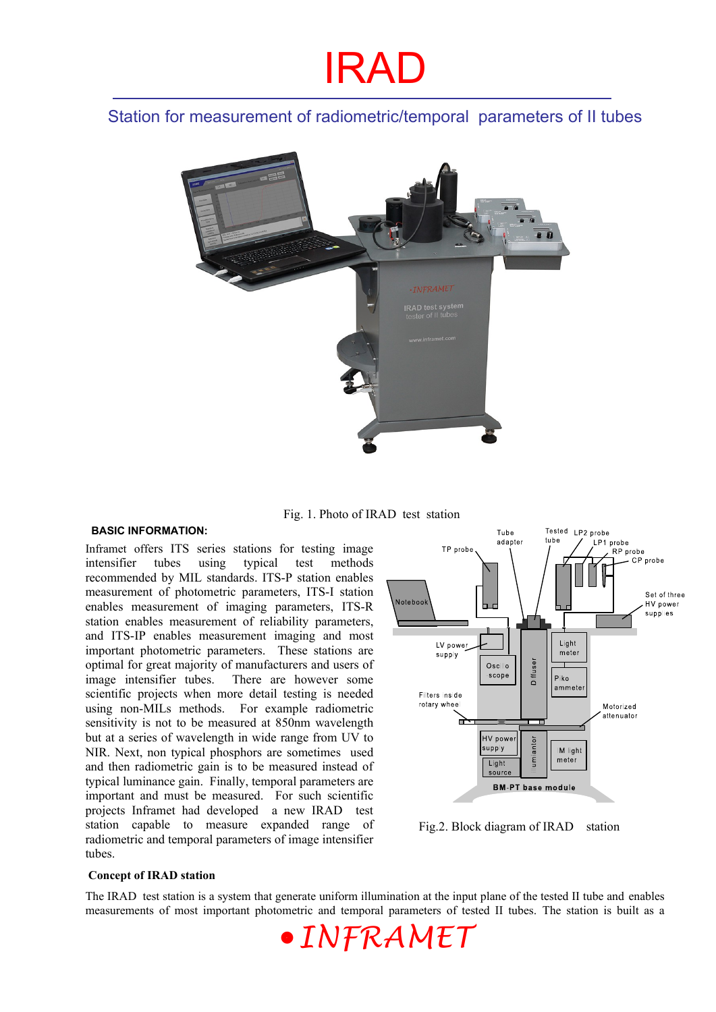### Station for measurement of radiometric/temporal parameters of II tubes



Fig. 1. Photo of IRAD test station

#### **BASIC INFORMATION:**

Inframet offers ITS series stations for testing image intensifier tubes using typical test methods recommended by MIL standards. ITS-P station enables measurement of photometric parameters, ITS-I station enables measurement of imaging parameters, ITS-R station enables measurement of reliability parameters, and ITS-IP enables measurement imaging and most important photometric parameters. These stations are optimal for great majority of manufacturers and users of image intensifier tubes. There are however some scientific projects when more detail testing is needed using non-MILs methods. For example radiometric sensitivity is not to be measured at 850nm wavelength but at a series of wavelength in wide range from UV to NIR. Next, non typical phosphors are sometimes used and then radiometric gain is to be measured instead of typical luminance gain. Finally, temporal parameters are important and must be measured. For such scientific projects Inframet had developed a new IRAD test station capable to measure expanded range of radiometric and temporal parameters of image intensifier tubes.



Fig.2. Block diagram of IRAD station

#### **Concept of IRAD station**

The IRAD test station is a system that generate uniform illumination at the input plane of the tested II tube and enables measurements of most important photometric and temporal parameters of tested II tubes. The station is built as a

*INFRAMET*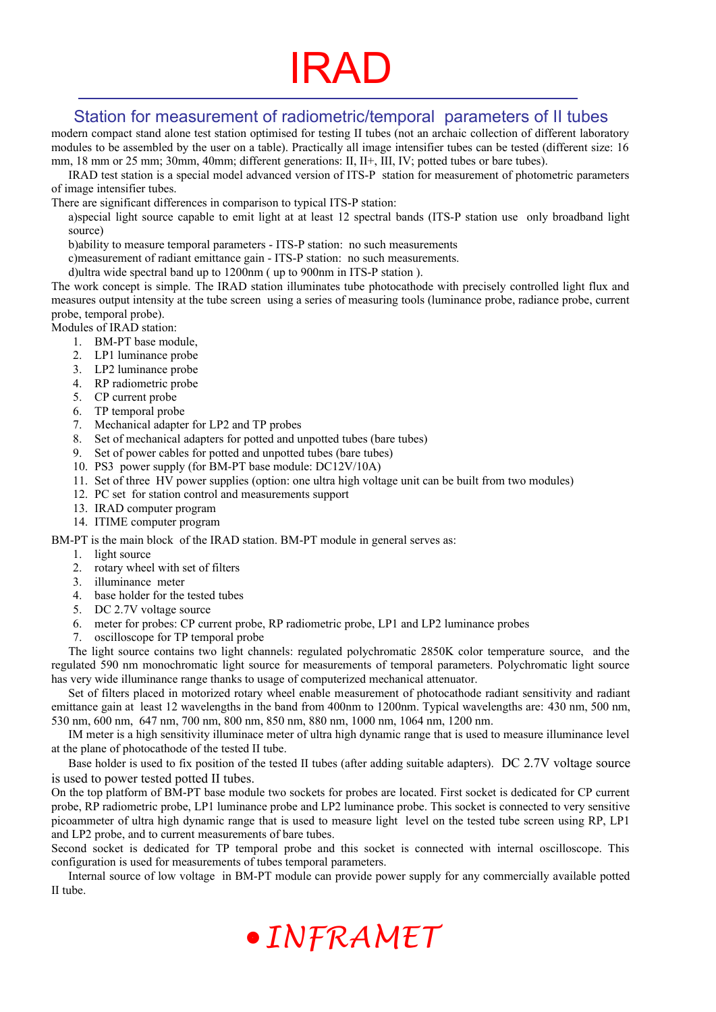### Station for measurement of radiometric/temporal parameters of II tubes

modern compact stand alone test station optimised for testing II tubes (not an archaic collection of different laboratory modules to be assembled by the user on a table). Practically all image intensifier tubes can be tested (different size: 16 mm, 18 mm or 25 mm; 30mm, 40mm; different generations: II, II+, III, IV; potted tubes or bare tubes).

IRAD test station is a special model advanced version of ITS-P station for measurement of photometric parameters of image intensifier tubes.

There are significant differences in comparison to typical ITS-P station:

a)special light source capable to emit light at at least 12 spectral bands (ITS-P station use only broadband light source)

b)ability to measure temporal parameters - ITS-P station: no such measurements

c)measurement of radiant emittance gain - ITS-P station: no such measurements.

d)ultra wide spectral band up to 1200nm ( up to 900nm in ITS-P station ).

The work concept is simple. The IRAD station illuminates tube photocathode with precisely controlled light flux and measures output intensity at the tube screen using a series of measuring tools (luminance probe, radiance probe, current probe, temporal probe).

Modules of IRAD station:

- 1. BM-PT base module,
- 2. LP1 luminance probe
- 3. LP2 luminance probe
- 4. RP radiometric probe
- 5. CP current probe
- 
- 6. TP temporal probe<br>7. Mechanical adapter Mechanical adapter for LP2 and TP probes
- 8. Set of mechanical adapters for potted and unpotted tubes (bare tubes)
- 9. Set of power cables for potted and unpotted tubes (bare tubes)
- 10. PS3 power supply (for BM-PT base module: DC12V/10A)
- 11. Set of three HV power supplies (option: one ultra high voltage unit can be built from two modules)
- 12. PC set for station control and measurements support
- 13. IRAD computer program
- 14. ITIME computer program

BM-PT is the main block of the IRAD station. BM-PT module in general serves as:

- 1. light source
- 2. rotary wheel with set of filters
- 3. illuminance meter
- 4. base holder for the tested tubes
- 5. DC 2.7V voltage source
- 6. meter for probes: CP current probe, RP radiometric probe, LP1 and LP2 luminance probes
- 7. oscilloscope for TP temporal probe

The light source contains two light channels: regulated polychromatic 2850K color temperature source, and the regulated 590 nm monochromatic light source for measurements of temporal parameters. Polychromatic light source has very wide illuminance range thanks to usage of computerized mechanical attenuator.

Set of filters placed in motorized rotary wheel enable measurement of photocathode radiant sensitivity and radiant emittance gain at least 12 wavelengths in the band from 400nm to 1200nm. Typical wavelengths are: 430 nm, 500 nm, 530 nm, 600 nm, 647 nm, 700 nm, 800 nm, 850 nm, 880 nm, 1000 nm, 1064 nm, 1200 nm.

IM meter is a high sensitivity illuminace meter of ultra high dynamic range that is used to measure illuminance level at the plane of photocathode of the tested II tube.

Base holder is used to fix position of the tested II tubes (after adding suitable adapters). DC 2.7V voltage source is used to power tested potted II tubes.

On the top platform of BM-PT base module two sockets for probes are located. First socket is dedicated for CP current probe, RP radiometric probe, LP1 luminance probe and LP2 luminance probe. This socket is connected to very sensitive picoammeter of ultra high dynamic range that is used to measure light level on the tested tube screen using RP, LP1 and LP2 probe, and to current measurements of bare tubes.

Second socket is dedicated for TP temporal probe and this socket is connected with internal oscilloscope. This configuration is used for measurements of tubes temporal parameters.

Internal source of low voltage in BM-PT module can provide power supply for any commercially available potted II tube.

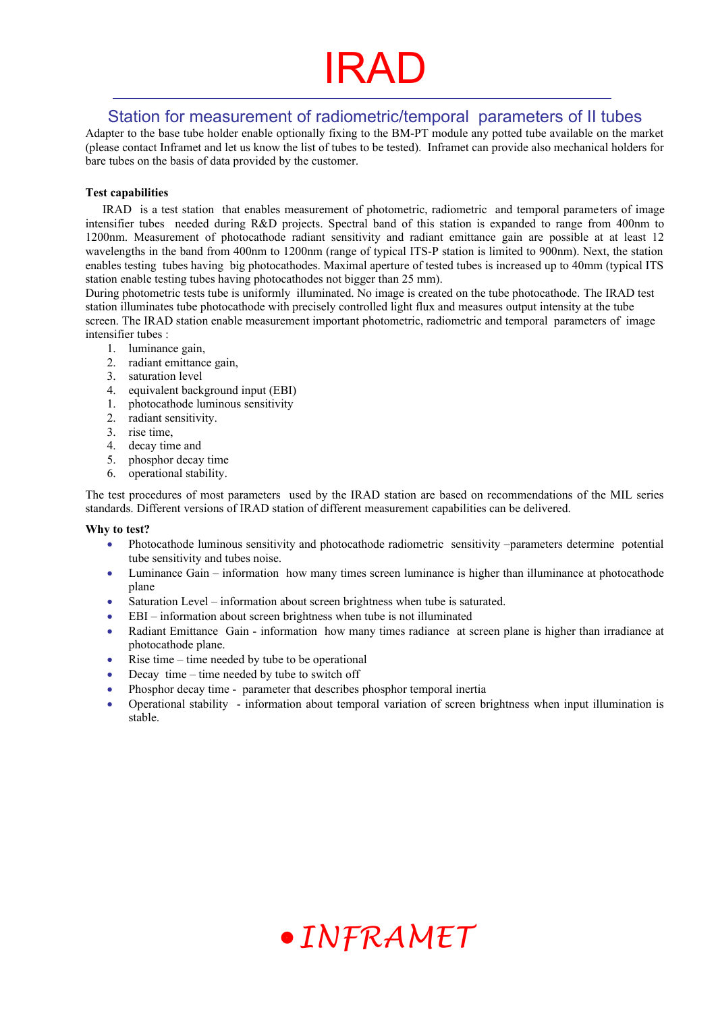# IRAF

### Station for measurement of radiometric/temporal parameters of II tubes

Adapter to the base tube holder enable optionally fixing to the BM-PT module any potted tube available on the market (please contact Inframet and let us know the list of tubes to be tested). Inframet can provide also mechanical holders for bare tubes on the basis of data provided by the customer.

#### **Test capabilities**

IRAD is a test station that enables measurement of photometric, radiometric and temporal parameters of image intensifier tubes needed during R&D projects. Spectral band of this station is expanded to range from 400nm to 1200nm. Measurement of photocathode radiant sensitivity and radiant emittance gain are possible at at least 12 wavelengths in the band from 400nm to 1200nm (range of typical ITS-P station is limited to 900nm). Next, the station enables testing tubes having big photocathodes. Maximal aperture of tested tubes is increased up to 40mm (typical ITS station enable testing tubes having photocathodes not bigger than 25 mm).

During photometric tests tube is uniformly illuminated. No image is created on the tube photocathode. The IRAD test station illuminates tube photocathode with precisely controlled light flux and measures output intensity at the tube screen. The IRAD station enable measurement important photometric, radiometric and temporal parameters of image intensifier tubes :

- 1. luminance gain,
- 2. radiant emittance gain,
- 3. saturation level
- 4. equivalent background input (EBI)
- 1. photocathode luminous sensitivity
- 2. radiant sensitivity.
- 3. rise time,
- 4. decay time and
- 5. phosphor decay time
- 6. operational stability.

The test procedures of most parameters used by the IRAD station are based on recommendations of the MIL series standards. Different versions of IRAD station of different measurement capabilities can be delivered.

#### **Why to test?**

- Photocathode luminous sensitivity and photocathode radiometric sensitivity –parameters determine potential tube sensitivity and tubes noise.
- Luminance Gain information how many times screen luminance is higher than illuminance at photocathode plane
- Saturation Level information about screen brightness when tube is saturated.
- EBI information about screen brightness when tube is not illuminated
- Radiant Emittance Gain information how many times radiance at screen plane is higher than irradiance at photocathode plane.
- $\bullet$  Rise time time needed by tube to be operational
- Decay time time needed by tube to switch off
- Phosphor decay time parameter that describes phosphor temporal inertia
- Operational stability information about temporal variation of screen brightness when input illumination is stable.

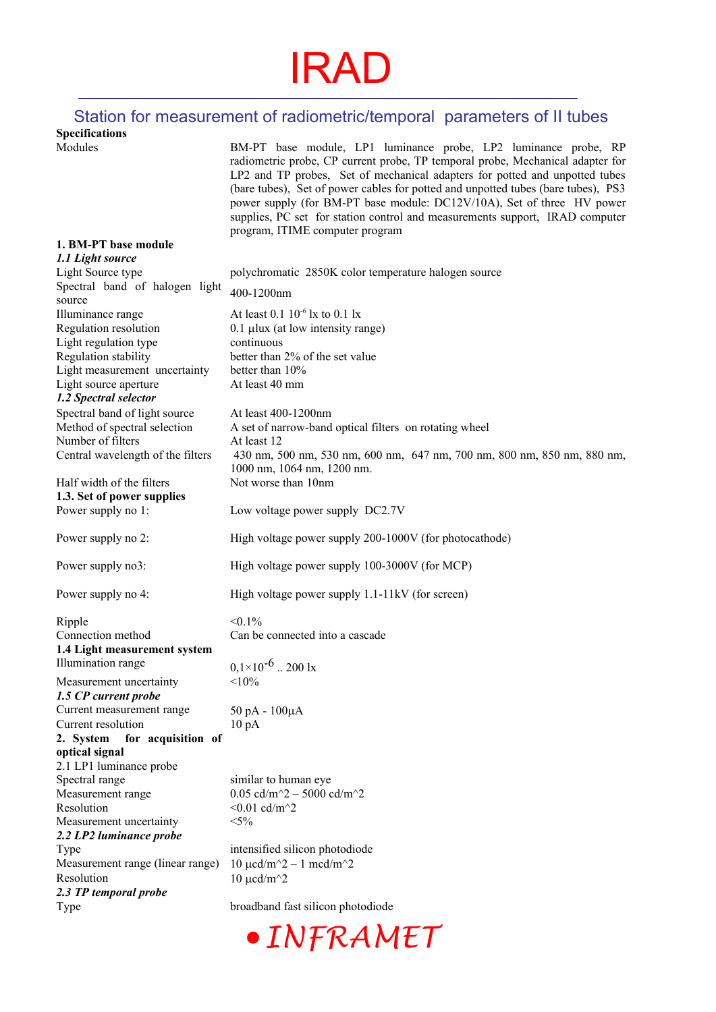### Station for measurement of radiometric/temporal parameters of II tubes

**Specifications** 

| Modules                                                | BM-PT base module, LP1 luminance probe, LP2 luminance probe, RP<br>radiometric probe, CP current probe, TP temporal probe, Mechanical adapter for<br>LP2 and TP probes, Set of mechanical adapters for potted and unpotted tubes<br>(bare tubes), Set of power cables for potted and unpotted tubes (bare tubes), PS3<br>power supply (for BM-PT base module: DC12V/10A), Set of three HV power<br>supplies, PC set for station control and measurements support, IRAD computer<br>program, ITIME computer program |
|--------------------------------------------------------|--------------------------------------------------------------------------------------------------------------------------------------------------------------------------------------------------------------------------------------------------------------------------------------------------------------------------------------------------------------------------------------------------------------------------------------------------------------------------------------------------------------------|
| 1. BM-PT base module                                   |                                                                                                                                                                                                                                                                                                                                                                                                                                                                                                                    |
| 1.1 Light source                                       |                                                                                                                                                                                                                                                                                                                                                                                                                                                                                                                    |
| Light Source type                                      | polychromatic 2850K color temperature halogen source                                                                                                                                                                                                                                                                                                                                                                                                                                                               |
| Spectral band of halogen light<br>source               | 400-1200nm                                                                                                                                                                                                                                                                                                                                                                                                                                                                                                         |
| Illuminance range                                      | At least $0.1\ 10^{-6}$ lx to $0.1$ lx                                                                                                                                                                                                                                                                                                                                                                                                                                                                             |
| Regulation resolution                                  | $0.1$ µlux (at low intensity range)                                                                                                                                                                                                                                                                                                                                                                                                                                                                                |
| Light regulation type                                  | continuous                                                                                                                                                                                                                                                                                                                                                                                                                                                                                                         |
| Regulation stability                                   | better than 2% of the set value                                                                                                                                                                                                                                                                                                                                                                                                                                                                                    |
| Light measurement uncertainty                          | better than $10\%$                                                                                                                                                                                                                                                                                                                                                                                                                                                                                                 |
| Light source aperture                                  | At least 40 mm                                                                                                                                                                                                                                                                                                                                                                                                                                                                                                     |
| 1.2 Spectral selector<br>Spectral band of light source | At least 400-1200nm                                                                                                                                                                                                                                                                                                                                                                                                                                                                                                |
| Method of spectral selection                           | A set of narrow-band optical filters on rotating wheel                                                                                                                                                                                                                                                                                                                                                                                                                                                             |
| Number of filters                                      | At least 12                                                                                                                                                                                                                                                                                                                                                                                                                                                                                                        |
| Central wavelength of the filters                      | 430 nm, 500 nm, 530 nm, 600 nm, 647 nm, 700 nm, 800 nm, 850 nm, 880 nm,                                                                                                                                                                                                                                                                                                                                                                                                                                            |
|                                                        | 1000 nm, 1064 nm, 1200 nm.                                                                                                                                                                                                                                                                                                                                                                                                                                                                                         |
| Half width of the filters                              | Not worse than 10nm                                                                                                                                                                                                                                                                                                                                                                                                                                                                                                |
| 1.3. Set of power supplies<br>Power supply no 1:       | Low voltage power supply DC2.7V                                                                                                                                                                                                                                                                                                                                                                                                                                                                                    |
|                                                        |                                                                                                                                                                                                                                                                                                                                                                                                                                                                                                                    |
| Power supply no 2:                                     | High voltage power supply 200-1000V (for photocathode)                                                                                                                                                                                                                                                                                                                                                                                                                                                             |
| Power supply no3:                                      | High voltage power supply 100-3000V (for MCP)                                                                                                                                                                                                                                                                                                                                                                                                                                                                      |
| Power supply no 4:                                     | High voltage power supply 1.1-11kV (for screen)                                                                                                                                                                                                                                                                                                                                                                                                                                                                    |
| Ripple                                                 | $< 0.1\%$                                                                                                                                                                                                                                                                                                                                                                                                                                                                                                          |
| Connection method                                      | Can be connected into a cascade                                                                                                                                                                                                                                                                                                                                                                                                                                                                                    |
| 1.4 Light measurement system                           |                                                                                                                                                                                                                                                                                                                                                                                                                                                                                                                    |
| Illumination range                                     | $0,1\times10^{-6}$ 200 lx                                                                                                                                                                                                                                                                                                                                                                                                                                                                                          |
| Measurement uncertainty                                | < 10%                                                                                                                                                                                                                                                                                                                                                                                                                                                                                                              |
| 1.5 CP current probe                                   |                                                                                                                                                                                                                                                                                                                                                                                                                                                                                                                    |
| Current measurement range<br>Current resolution        | 50 pA - 100μA<br>$10 \text{ pA}$                                                                                                                                                                                                                                                                                                                                                                                                                                                                                   |
| 2. System<br>for acquisition of                        |                                                                                                                                                                                                                                                                                                                                                                                                                                                                                                                    |
| optical signal                                         |                                                                                                                                                                                                                                                                                                                                                                                                                                                                                                                    |
| 2.1 LP1 luminance probe                                |                                                                                                                                                                                                                                                                                                                                                                                                                                                                                                                    |
| Spectral range                                         | similar to human eye                                                                                                                                                                                                                                                                                                                                                                                                                                                                                               |
| Measurement range                                      | 0.05 cd/m <sup><math>\sim</math></sup> 2 - 5000 cd/m $\sim$ 2                                                                                                                                                                                                                                                                                                                                                                                                                                                      |
| Resolution<br>Measurement uncertainty                  | $< 0.01$ cd/m <sup><math>\sim</math></sup> 2<br>$< 5\%$                                                                                                                                                                                                                                                                                                                                                                                                                                                            |
| 2.2 LP2 luminance probe                                |                                                                                                                                                                                                                                                                                                                                                                                                                                                                                                                    |
| Type                                                   | intensified silicon photodiode                                                                                                                                                                                                                                                                                                                                                                                                                                                                                     |
| Measurement range (linear range)                       | $10 \mu c d/m^2 - 1 \text{ med}/m^2$                                                                                                                                                                                                                                                                                                                                                                                                                                                                               |
| Resolution                                             | $10 \mu$ cd/m <sup><math>\gamma</math></sup> 2                                                                                                                                                                                                                                                                                                                                                                                                                                                                     |
| 2.3 TP temporal probe                                  |                                                                                                                                                                                                                                                                                                                                                                                                                                                                                                                    |
| Type                                                   | broadband fast silicon photodiode                                                                                                                                                                                                                                                                                                                                                                                                                                                                                  |
|                                                        |                                                                                                                                                                                                                                                                                                                                                                                                                                                                                                                    |